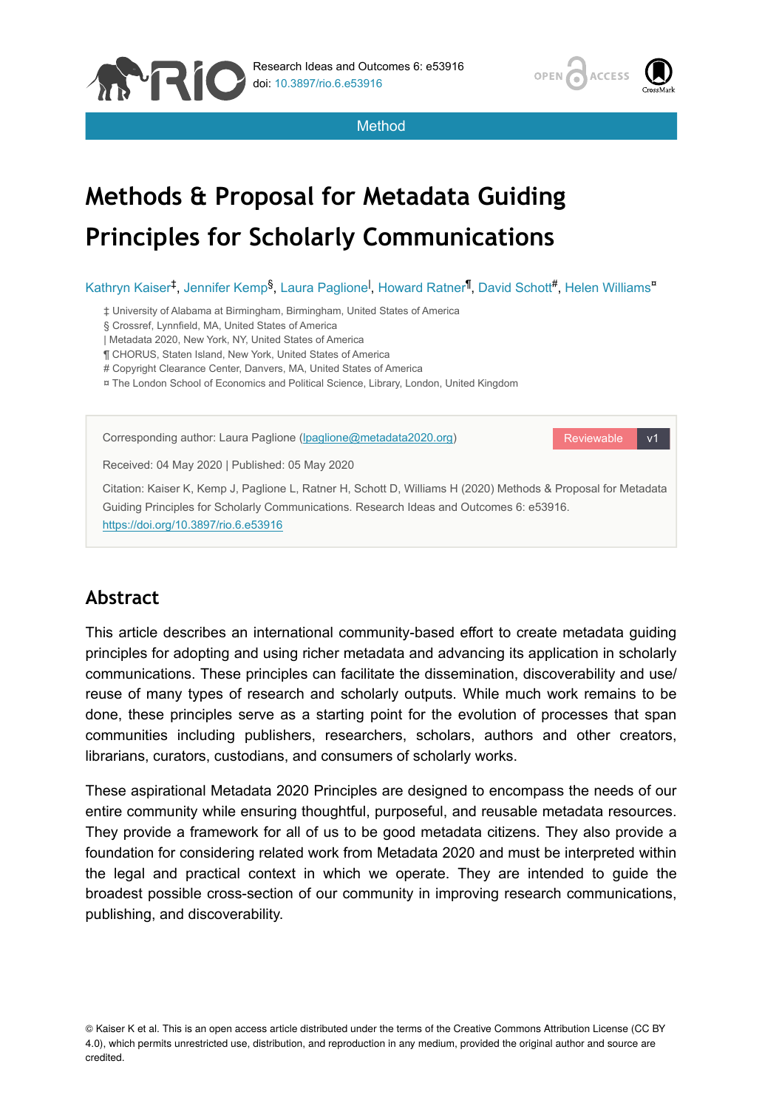



Method

# **Methods & Proposal for Metadata Guiding Principles for Scholarly Communications**

Kathryn Kaiser<sup>‡</sup>, Jennifer Kemp<sup>§</sup>, Laura Paglione<sup>l</sup>, Howard Ratner<sup>¶</sup>, David Schott<sup>#</sup>, Helen Williams<sup>¤</sup>

‡ University of Alabama at Birmingham, Birmingham, United States of America

§ Crossref, Lynnfield, MA, United States of America

| Metadata 2020, New York, NY, United States of America

¶ CHORUS, Staten Island, New York, United States of America

# Copyright Clearance Center, Danvers, MA, United States of America

¤ The London School of Economics and Political Science, Library, London, United Kingdom



# **Abstract**

This article describes an international community-based effort to create metadata guiding principles for adopting and using richer metadata and advancing its application in scholarly communications. These principles can facilitate the dissemination, discoverability and use/ reuse of many types of research and scholarly outputs. While much work remains to be done, these principles serve as a starting point for the evolution of processes that span communities including publishers, researchers, scholars, authors and other creators, librarians, curators, custodians, and consumers of scholarly works.

These aspirational Metadata 2020 Principles are designed to encompass the needs of our entire community while ensuring thoughtful, purposeful, and reusable metadata resources. They provide a framework for all of us to be good metadata citizens. They also provide a foundation for considering related work from Metadata 2020 and must be interpreted within the legal and practical context in which we operate. They are intended to guide the broadest possible cross-section of our community in improving research communications, publishing, and discoverability.

© Kaiser K et al. This is an open access article distributed under the terms of the Creative Commons Attribution License (CC BY 4.0), which permits unrestricted use, distribution, and reproduction in any medium, provided the original author and source are credited.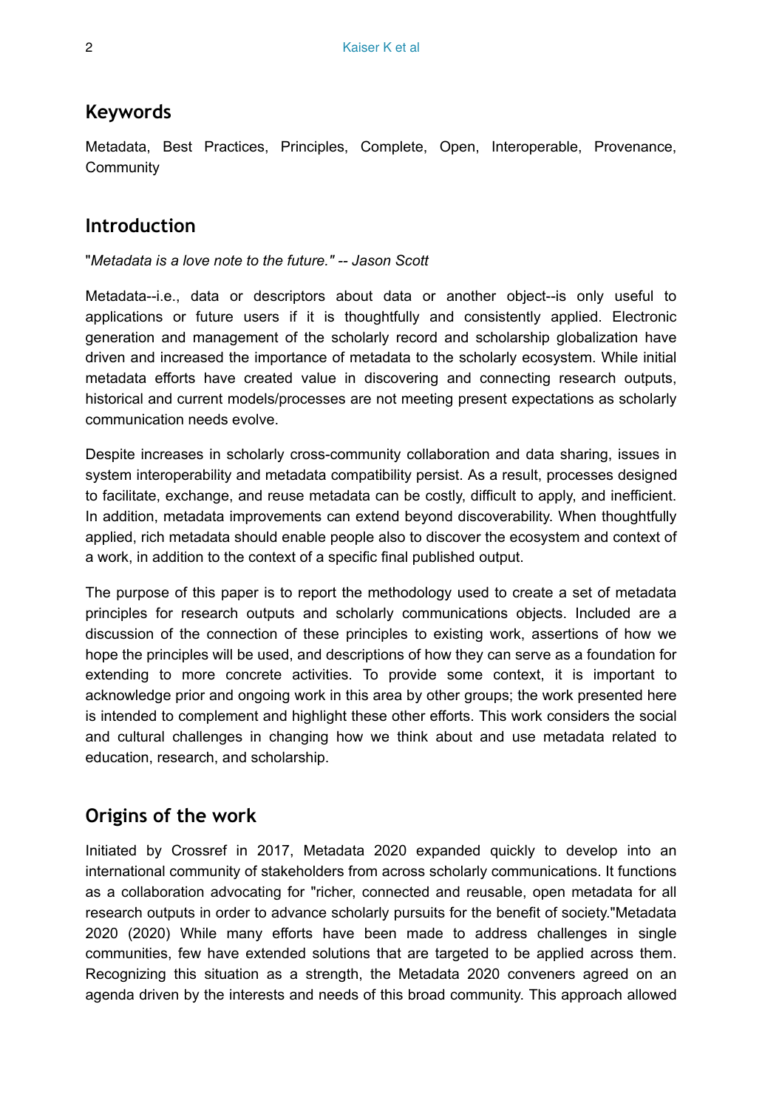## **Keywords**

Metadata, Best Practices, Principles, Complete, Open, Interoperable, Provenance, **Community** 

# **Introduction**

#### "*Metadata is a love note to the future." -- Jason Scott*

Metadata--i.e., data or descriptors about data or another object--is only useful to applications or future users if it is thoughtfully and consistently applied. Electronic generation and management of the scholarly record and scholarship globalization have driven and increased the importance of metadata to the scholarly ecosystem. While initial metadata efforts have created value in discovering and connecting research outputs, historical and current models/processes are not meeting present expectations as scholarly communication needs evolve.

Despite increases in scholarly cross-community collaboration and data sharing, issues in system interoperability and metadata compatibility persist. As a result, processes designed to facilitate, exchange, and reuse metadata can be costly, difficult to apply, and inefficient. In addition, metadata improvements can extend beyond discoverability. When thoughtfully applied, rich metadata should enable people also to discover the ecosystem and context of a work, in addition to the context of a specific final published output.

The purpose of this paper is to report the methodology used to create a set of metadata principles for research outputs and scholarly communications objects. Included are a discussion of the connection of these principles to existing work, assertions of how we hope the principles will be used, and descriptions of how they can serve as a foundation for extending to more concrete activities. To provide some context, it is important to acknowledge prior and ongoing work in this area by other groups; the work presented here is intended to complement and highlight these other efforts. This work considers the social and cultural challenges in changing how we think about and use metadata related to education, research, and scholarship.

# <span id="page-1-0"></span>**Origins of the work**

Initiated by Crossref in 2017, Metadata 2020 expanded quickly to develop into an international community of stakeholders from across scholarly communications. It functions as a collaboration advocating for "richer, connected and reusable, open metadata for all research outputs in order to advance scholarly pursuits for the benefit of society."Metadata 2020 (2020) While many efforts have been made to address challenges in single communities, few have extended solutions that are targeted to be applied across them. Recognizing this situation as a strength, the Metadata 2020 conveners agreed on an agenda driven by the interests and needs of this broad community. This approach allowed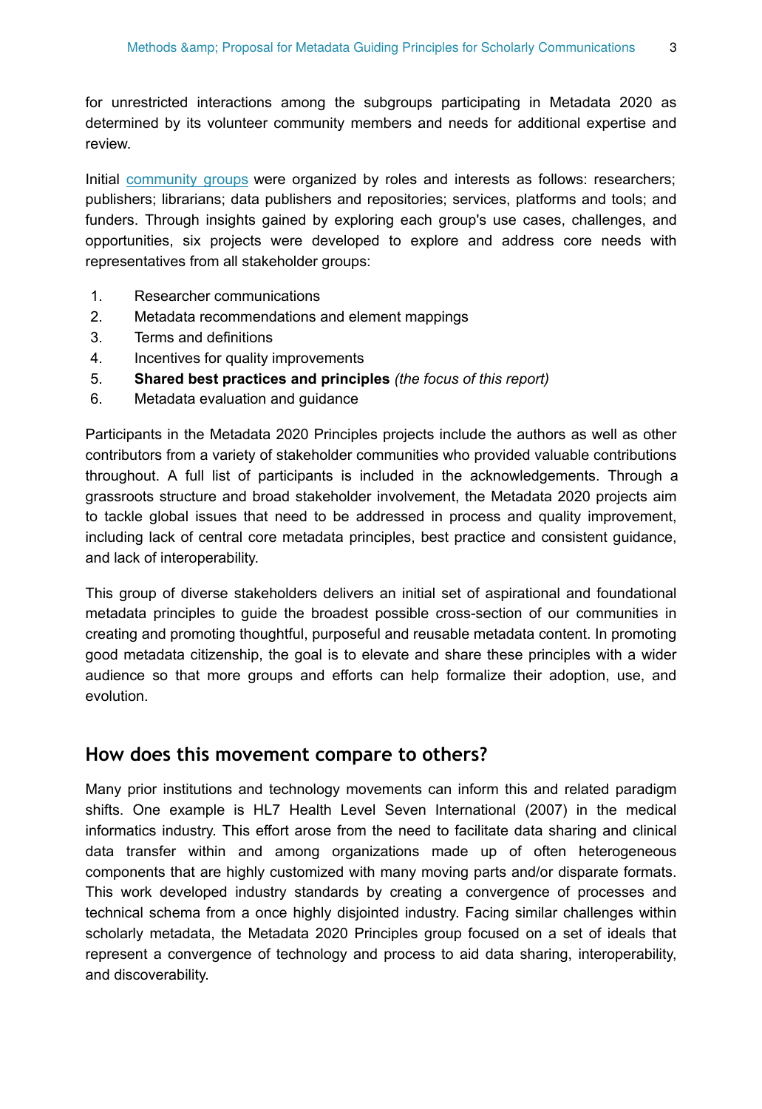for unrestricted interactions among the subgroups participating in Metadata 2020 as determined by its volunteer community members and needs for additional expertise and review.

Initial [community groups](http://www.metadata2020.org/communities/) were organized by roles and interests as follows: researchers; publishers; librarians; data publishers and repositories; services, platforms and tools; and funders. Through insights gained by exploring each group's use cases, challenges, and opportunities, six projects were developed to explore and address core needs with representatives from all stakeholder groups:

- 1. Researcher communications
- 2. Metadata recommendations and element mappings
- 3. Terms and definitions
- 4. Incentives for quality improvements
- 5. **Shared best practices and principles** *(the focus of this report)*
- 6. Metadata evaluation and guidance

Participants in the Metadata 2020 Principles projects include the authors as well as other contributors from a variety of stakeholder communities who provided valuable contributions throughout. A full list of participants is included in the acknowledgements. Through a grassroots structure and broad stakeholder involvement, the Metadata 2020 projects aim to tackle global issues that need to be addressed in process and quality improvement, including lack of central core metadata principles, best practice and consistent guidance, and lack of interoperability.

This group of diverse stakeholders delivers an initial set of aspirational and foundational metadata principles to guide the broadest possible cross-section of our communities in creating and promoting thoughtful, purposeful and reusable metadata content. In promoting good metadata citizenship, the goal is to elevate and share these principles with a wider audience so that more groups and efforts can help formalize their adoption, use, and evolution.

# **How does this movement compare to others?**

Many prior institutions and technology movements can inform this and related paradigm shifts. One example is HL7 Health Level Seven International (2007) in the medical informatics industry. This effort arose from the need to facilitate data sharing and clinical data transfer within and among organizations made up of often heterogeneous components that are highly customized with many moving parts and/or disparate formats. This work developed industry standards by creating a convergence of processes and technical schema from a once highly disjointed industry. Facing similar challenges within scholarly metadata, the Metadata 2020 Principles group focused on a set of ideals that represent a convergence of technology and process to aid data sharing, interoperability, and discoverability.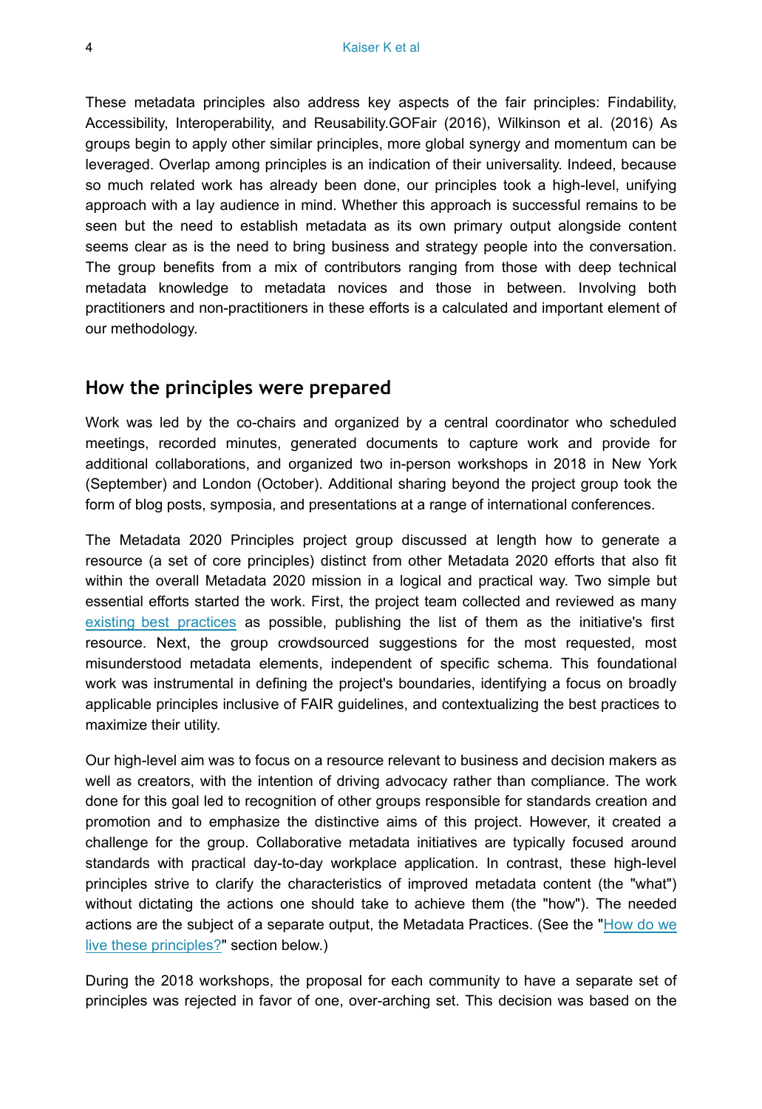These metadata principles also address key aspects of the fair principles: Findability, Accessibility, Interoperability, and Reusability.GOFair (2016), Wilkinson et al. (2016) As groups begin to apply other similar principles, more global synergy and momentum can be leveraged. Overlap among principles is an indication of their universality. Indeed, because so much related work has already been done, our principles took a high-level, unifying approach with a lay audience in mind. Whether this approach is successful remains to be seen but the need to establish metadata as its own primary output alongside content seems clear as is the need to bring business and strategy people into the conversation. The group benefits from a mix of contributors ranging from those with deep technical metadata knowledge to metadata novices and those in between. Involving both practitioners and non-practitioners in these efforts is a calculated and important element of our methodology.

## **How the principles were prepared**

Work was led by the co-chairs and organized by a central coordinator who scheduled meetings, recorded minutes, generated documents to capture work and provide for additional collaborations, and organized two in-person workshops in 2018 in New York (September) and London (October). Additional sharing beyond the project group took the form of blog posts, symposia, and presentations at a range of international conferences.

The Metadata 2020 Principles project group discussed at length how to generate a resource (a set of core principles) distinct from other Metadata 2020 efforts that also fit within the overall Metadata 2020 mission in a logical and practical way. Two simple but essential efforts started the work. First, the project team collected and reviewed as many [existing best practices](http://www.metadata2020.org/resources/metadata-best-practices/) as possible, publishing the list of them as the initiative's first resource. Next, the group crowdsourced suggestions for the most requested, most misunderstood metadata elements, independent of specific schema. This foundational work was instrumental in defining the project's boundaries, identifying a focus on broadly applicable principles inclusive of FAIR guidelines, and contextualizing the best practices to maximize their utility.

Our high-level aim was to focus on a resource relevant to business and decision makers as well as creators, with the intention of driving advocacy rather than compliance. The work done for this goal led to recognition of other groups responsible for standards creation and promotion and to emphasize the distinctive aims of this project. However, it created a challenge for the group. Collaborative metadata initiatives are typically focused around standards with practical day-to-day workplace application. In contrast, these high-level principles strive to clarify the characteristics of improved metadata content (the "what") without dictating the actions one should take to achieve them (the "how"). The needed actions are the subject of a separate output, the Metadata Practices. (See the "[How do we](#page-5-0) [live these principles?"](#page-5-0) section below.)

During the 2018 workshops, the proposal for each community to have a separate set of principles was rejected in favor of one, over-arching set. This decision was based on the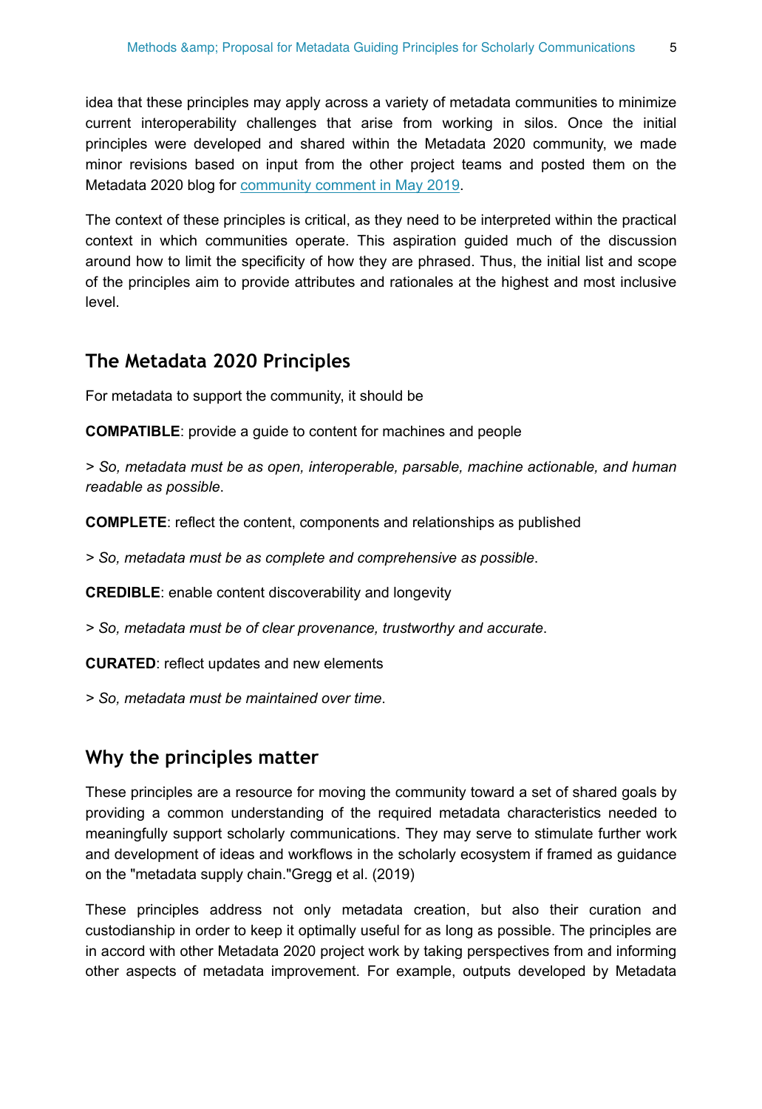idea that these principles may apply across a variety of metadata communities to minimize current interoperability challenges that arise from working in silos. Once the initial principles were developed and shared within the Metadata 2020 community, we made minor revisions based on input from the other project teams and posted them on the Metadata 2020 blog for [community comment in May 2019](http://www.metadata2020.org/blog/2019-05-13-principles-call-for-comment/).

The context of these principles is critical, as they need to be interpreted within the practical context in which communities operate. This aspiration guided much of the discussion around how to limit the specificity of how they are phrased. Thus, the initial list and scope of the principles aim to provide attributes and rationales at the highest and most inclusive level.

## **The Metadata 2020 Principles**

For metadata to support the community, it should be

**COMPATIBLE**: provide a guide to content for machines and people

*> So, metadata must be as open, interoperable, parsable, machine actionable, and human readable as possible*.

**COMPLETE**: reflect the content, components and relationships as published

*> So, metadata must be as complete and comprehensive as possible*.

**CREDIBLE**: enable content discoverability and longevity

*> So, metadata must be of clear provenance, trustworthy and accurate*.

**CURATED**: reflect updates and new elements

*> So, metadata must be maintained over time*.

## **Why the principles matter**

These principles are a resource for moving the community toward a set of shared goals by providing a common understanding of the required metadata characteristics needed to meaningfully support scholarly communications. They may serve to stimulate further work and development of ideas and workflows in the scholarly ecosystem if framed as guidance on the "metadata supply chain."Gregg et al. (2019)

These principles address not only metadata creation, but also their curation and custodianship in order to keep it optimally useful for as long as possible. The principles are in accord with other Metadata 2020 project work by taking perspectives from and informing other aspects of metadata improvement. For example, outputs developed by Metadata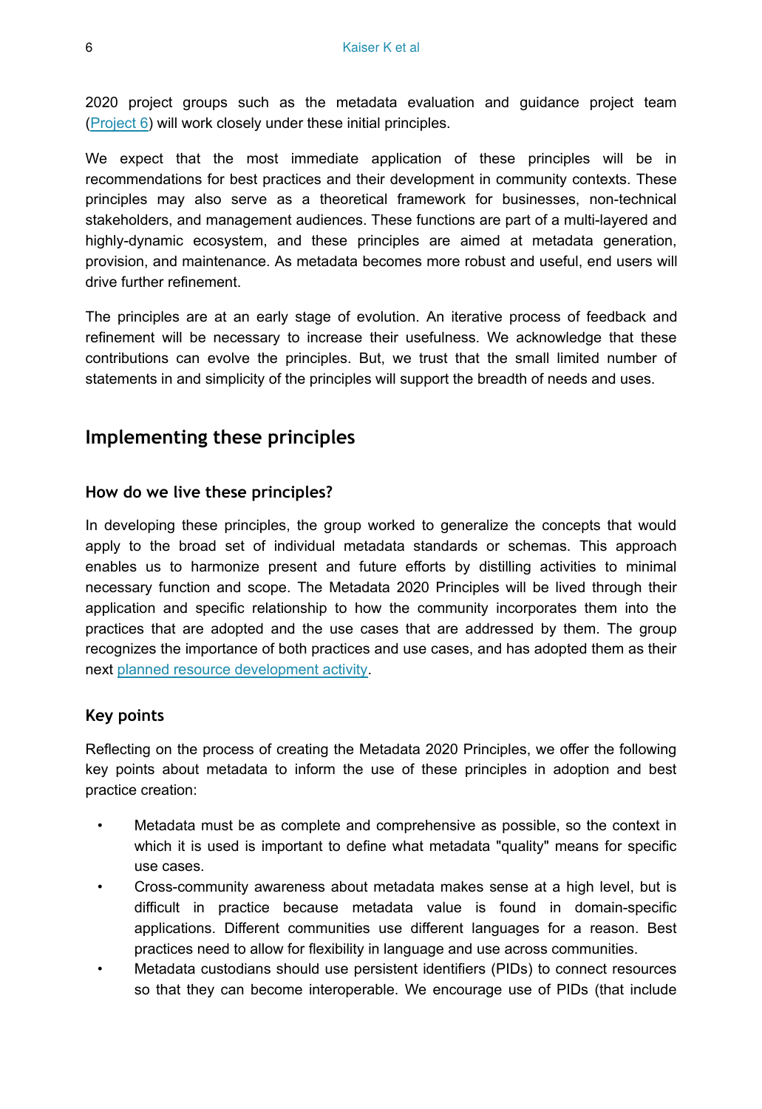2020 project groups such as the metadata evaluation and guidance project team [\(Project 6\)](#page-1-0) will work closely under these initial principles.

We expect that the most immediate application of these principles will be in recommendations for best practices and their development in community contexts. These principles may also serve as a theoretical framework for businesses, non-technical stakeholders, and management audiences. These functions are part of a multi-layered and highly-dynamic ecosystem, and these principles are aimed at metadata generation, provision, and maintenance. As metadata becomes more robust and useful, end users will drive further refinement.

The principles are at an early stage of evolution. An iterative process of feedback and refinement will be necessary to increase their usefulness. We acknowledge that these contributions can evolve the principles. But, we trust that the small limited number of statements in and simplicity of the principles will support the breadth of needs and uses.

# **Implementing these principles**

#### <span id="page-5-0"></span>**How do we live these principles?**

In developing these principles, the group worked to generalize the concepts that would apply to the broad set of individual metadata standards or schemas. This approach enables us to harmonize present and future efforts by distilling activities to minimal necessary function and scope. The Metadata 2020 Principles will be lived through their application and specific relationship to how the community incorporates them into the practices that are adopted and the use cases that are addressed by them. The group recognizes the importance of both practices and use cases, and has adopted them as their next [planned resource development activity.](http://www.metadata2020.org/resources/metadata-practices/)

#### **Key points**

Reflecting on the process of creating the Metadata 2020 Principles, we offer the following key points about metadata to inform the use of these principles in adoption and best practice creation:

- Metadata must be as complete and comprehensive as possible, so the context in which it is used is important to define what metadata "quality" means for specific use cases.
- Cross-community awareness about metadata makes sense at a high level, but is difficult in practice because metadata value is found in domain-specific applications. Different communities use different languages for a reason. Best practices need to allow for flexibility in language and use across communities.
- Metadata custodians should use persistent identifiers (PIDs) to connect resources so that they can become interoperable. We encourage use of PIDs (that include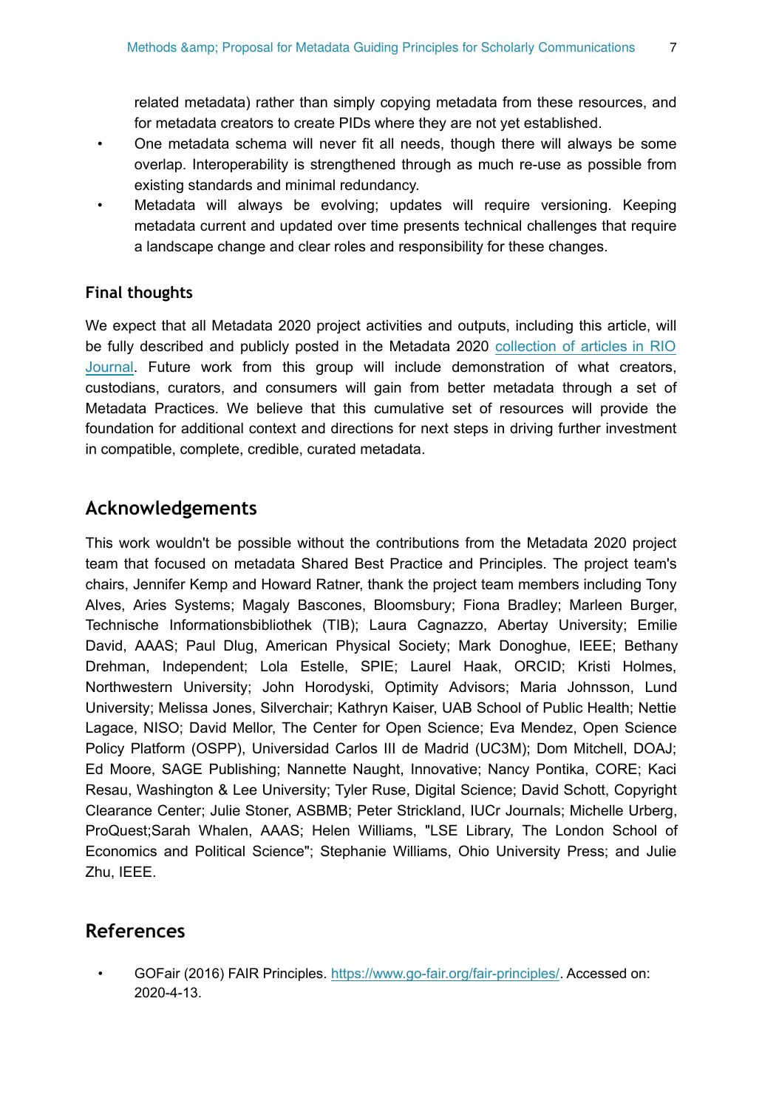related metadata) rather than simply copying metadata from these resources, and for metadata creators to create PIDs where they are not yet established.

- One metadata schema will never fit all needs, though there will always be some overlap. Interoperability is strengthened through as much re-use as possible from existing standards and minimal redundancy.
- Metadata will always be evolving; updates will require versioning. Keeping metadata current and updated over time presents technical challenges that require a landscape change and clear roles and responsibility for these changes.

#### **Final thoughts**

We expect that all Metadata 2020 project activities and outputs, including this article, will be fully described and publicly posted in the Metadata 2020 [collection of articles in RIO](https://riojournal.com/collection/167/) [Journal.](https://riojournal.com/collection/167/) Future work from this group will include demonstration of what creators, custodians, curators, and consumers will gain from better metadata through a set of Metadata Practices. We believe that this cumulative set of resources will provide the foundation for additional context and directions for next steps in driving further investment in compatible, complete, credible, curated metadata.

# **Acknowledgements**

This work wouldn't be possible without the contributions from the Metadata 2020 project team that focused on metadata Shared Best Practice and Principles. The project team's chairs, Jennifer Kemp and Howard Ratner, thank the project team members including Tony Alves, Aries Systems; Magaly Bascones, Bloomsbury; Fiona Bradley; Marleen Burger, Technische Informationsbibliothek (TIB); Laura Cagnazzo, Abertay University; Emilie David, AAAS; Paul Dlug, American Physical Society; Mark Donoghue, IEEE; Bethany Drehman, Independent; Lola Estelle, SPIE; Laurel Haak, ORCID; Kristi Holmes, Northwestern University; John Horodyski, Optimity Advisors; Maria Johnsson, Lund University; Melissa Jones, Silverchair; Kathryn Kaiser, UAB School of Public Health; Nettie Lagace, NISO; David Mellor, The Center for Open Science; Eva Mendez, Open Science Policy Platform (OSPP), Universidad Carlos III de Madrid (UC3M); Dom Mitchell, DOAJ; Ed Moore, SAGE Publishing; Nannette Naught, Innovative; Nancy Pontika, CORE; Kaci Resau, Washington & Lee University; Tyler Ruse, Digital Science; David Schott, Copyright Clearance Center; Julie Stoner, ASBMB; Peter Strickland, IUCr Journals; Michelle Urberg, ProQuest;Sarah Whalen, AAAS; Helen Williams, "LSE Library, The London School of Economics and Political Science"; Stephanie Williams, Ohio University Press; and Julie Zhu, IEEE.

# **References**

• GOFair (2016) FAIR Principles.<https://www.go-fair.org/fair-principles/>. Accessed on: 2020-4-13.